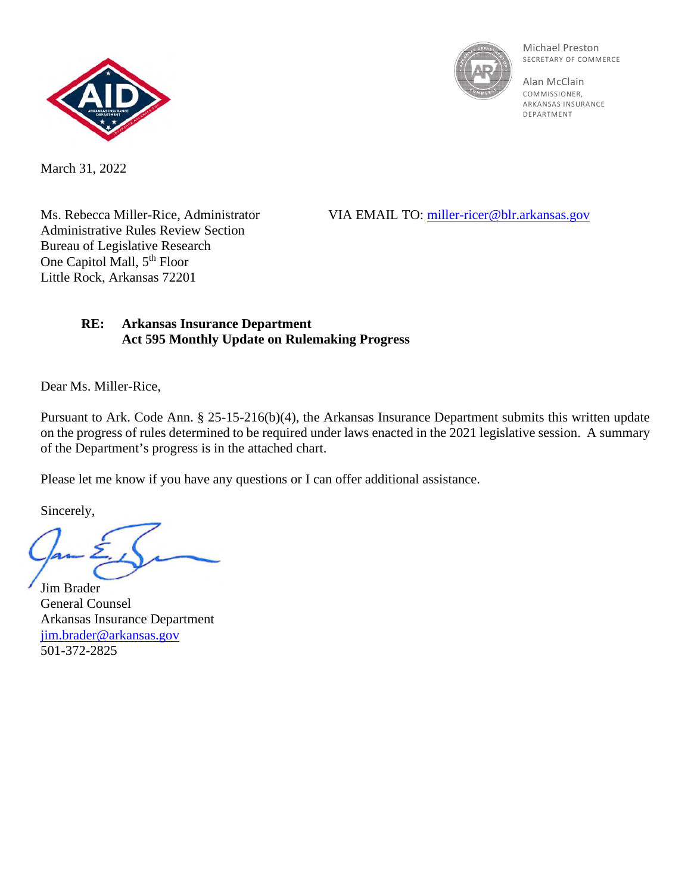



Michael Preston SECRETARY OF COMMERCE

Alan McClain **COMMISSIONER** ARKANSAS INSURANCE DEPARTMENT

March 31, 2022

Administrative Rules Review Section Bureau of Legislative Research One Capitol Mall, 5<sup>th</sup> Floor Little Rock, Arkansas 72201

Ms. Rebecca Miller-Rice, Administrator VIA EMAIL TO: miller-ricer@blr.arkansas.gov

## **RE: Arkansas Insurance Department Act 595 Monthly Update on Rulemaking Progress**

Dear Ms. Miller-Rice,

Pursuant to Ark. Code Ann. § 25-15-216(b)(4), the Arkansas Insurance Department submits this written update on the progress of rules determined to be required under laws enacted in the 2021 legislative session. A summary of the Department's progress is in the attached chart.

Please let me know if you have any questions or I can offer additional assistance.

Sincerely,

Jim Brader General Counsel Arkansas Insurance Department [jim.brader@arkansas.gov](mailto:jim.brader@arkansas.gov) 501-372-2825